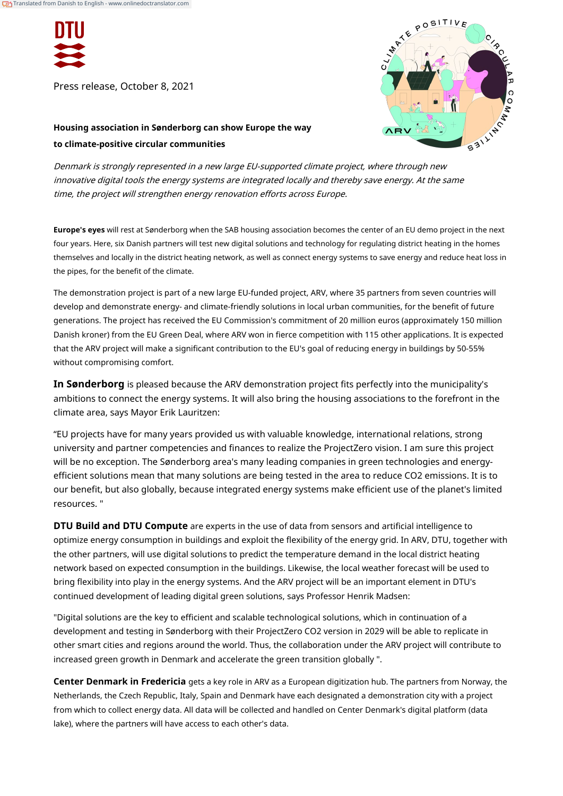

Press release, October 8, 2021



# **Housing association in Sønderborg can show Europe the way to climate-positive circular communities**

Denmark is strongly represented in a new large EU-supported climate project, where through new innovative digital tools the energy systems are integrated locally and thereby save energy. At the same time, the project will strengthen energy renovation efforts across Europe.

**Europe's eyes** will rest at Sønderborg when the SAB housing association becomes the center of an EU demo project in the next four years. Here, six Danish partners will test new digital solutions and technology for regulating district heating in the homes themselves and locally in the district heating network, as well as connect energy systems to save energy and reduce heat loss in the pipes, for the benefit of the climate.

The demonstration project is part of a new large EU-funded project, ARV, where 35 partners from seven countries will develop and demonstrate energy- and climate-friendly solutions in local urban communities, for the benefit of future generations. The project has received the EU Commission's commitment of 20 million euros (approximately 150 million Danish kroner) from the EU Green Deal, where ARV won in fierce competition with 115 other applications. It is expected that the ARV project will make a significant contribution to the EU's goal of reducing energy in buildings by 50-55% without compromising comfort.

**In Sønderborg** is pleased because the ARV demonstration project fits perfectly into the municipality's ambitions to connect the energy systems. It will also bring the housing associations to the forefront in the climate area, says Mayor Erik Lauritzen:

"EU projects have for many years provided us with valuable knowledge, international relations, strong university and partner competencies and finances to realize the ProjectZero vision. I am sure this project will be no exception. The Sønderborg area's many leading companies in green technologies and energyefficient solutions mean that many solutions are being tested in the area to reduce CO2 emissions. It is to our benefit, but also globally, because integrated energy systems make efficient use of the planet's limited resources. "

**DTU Build and DTU Compute** are experts in the use of data from sensors and artificial intelligence to optimize energy consumption in buildings and exploit the flexibility of the energy grid. In ARV, DTU, together with the other partners, will use digital solutions to predict the temperature demand in the local district heating network based on expected consumption in the buildings. Likewise, the local weather forecast will be used to bring flexibility into play in the energy systems. And the ARV project will be an important element in DTU's continued development of leading digital green solutions, says Professor Henrik Madsen:

"Digital solutions are the key to efficient and scalable technological solutions, which in continuation of a development and testing in Sønderborg with their ProjectZero CO2 version in 2029 will be able to replicate in other smart cities and regions around the world. Thus, the collaboration under the ARV project will contribute to increased green growth in Denmark and accelerate the green transition globally ".

**Center Denmark in Fredericia** gets a key role in ARV as a European digitization hub. The partners from Norway, the Netherlands, the Czech Republic, Italy, Spain and Denmark have each designated a demonstration city with a project from which to collect energy data. All data will be collected and handled on Center Denmark's digital platform (data lake), where the partners will have access to each other's data.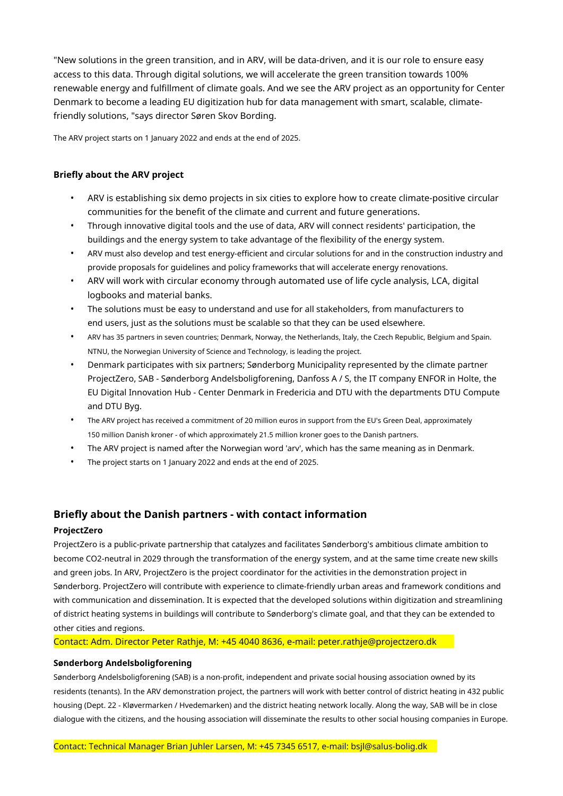"New solutions in the green transition, and in ARV, will be data-driven, and it is our role to ensure easy access to this data. Through digital solutions, we will accelerate the green transition towards 100% renewable energy and fulfillment of climate goals. And we see the ARV project as an opportunity for Center Denmark to become a leading EU digitization hub for data management with smart, scalable, climatefriendly solutions, "says director Søren Skov Bording.

The ARV project starts on 1 January 2022 and ends at the end of 2025.

# **Briefly about the ARV project**

- ARV is establishing six demo projects in six cities to explore how to create climate-positive circular communities for the benefit of the climate and current and future generations.
- Through innovative digital tools and the use of data, ARV will connect residents' participation, the buildings and the energy system to take advantage of the flexibility of the energy system.
- ARV must also develop and test energy-efficient and circular solutions for and in the construction industry and provide proposals for guidelines and policy frameworks that will accelerate energy renovations.
- ARV will work with circular economy through automated use of life cycle analysis, LCA, digital logbooks and material banks.
- The solutions must be easy to understand and use for all stakeholders, from manufacturers to end users, just as the solutions must be scalable so that they can be used elsewhere.
- ARV has 35 partners in seven countries; Denmark, Norway, the Netherlands, Italy, the Czech Republic, Belgium and Spain. NTNU, the Norwegian University of Science and Technology, is leading the project.
- Denmark participates with six partners; Sønderborg Municipality represented by the climate partner ProjectZero, SAB - Sønderborg Andelsboligforening, Danfoss A / S, the IT company ENFOR in Holte, the EU Digital Innovation Hub - Center Denmark in Fredericia and DTU with the departments DTU Compute and DTU Byg.
- The ARV project has received a commitment of 20 million euros in support from the EU's Green Deal, approximately 150 million Danish kroner - of which approximately 21.5 million kroner goes to the Danish partners.
- The ARV project is named after the Norwegian word 'arv', which has the same meaning as in Denmark.
- The project starts on 1 January 2022 and ends at the end of 2025.

# **Briefly about the Danish partners - with contact information**

## **ProjectZero**

ProjectZero is a public-private partnership that catalyzes and facilitates Sønderborg's ambitious climate ambition to become CO2-neutral in 2029 through the transformation of the energy system, and at the same time create new skills and green jobs. In ARV, ProjectZero is the project coordinator for the activities in the demonstration project in Sønderborg. ProjectZero will contribute with experience to climate-friendly urban areas and framework conditions and with communication and dissemination. It is expected that the developed solutions within digitization and streamlining of district heating systems in buildings will contribute to Sønderborg's climate goal, and that they can be extended to other cities and regions.

Contact: Adm. Director Peter Rathje, M: +45 4040 8636, e-mail: peter.rathje@projectzero.dk

## **Sønderborg Andelsboligforening**

Sønderborg Andelsboligforening (SAB) is a non-profit, independent and private social housing association owned by its residents (tenants). In the ARV demonstration project, the partners will work with better control of district heating in 432 public housing (Dept. 22 - Kløvermarken / Hvedemarken) and the district heating network locally. Along the way, SAB will be in close dialogue with the citizens, and the housing association will disseminate the results to other social housing companies in Europe.